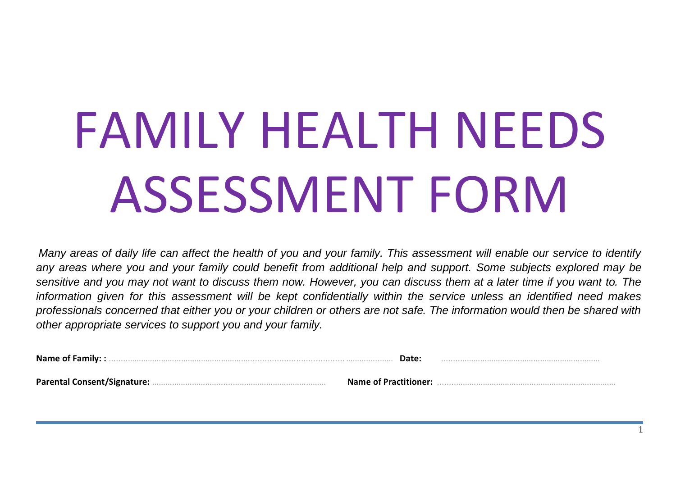# FAMILY HEALTH NEEDS ASSESSMENT FORM

*Many areas of daily life can affect the health of you and your family. This assessment will enable our service to identify any areas where you and your family could benefit from additional help and support. Some subjects explored may be sensitive and you may not want to discuss them now. However, you can discuss them at a later time if you want to. The information given for this assessment will be kept confidentially within the service unless an identified need makes professionals concerned that either you or your children or others are not safe. The information would then be shared with other appropriate services to support you and your family.*

1

| <b>Name of Family::</b> | Date:                        |  |
|-------------------------|------------------------------|--|
|                         | <b>Name of Practitioner:</b> |  |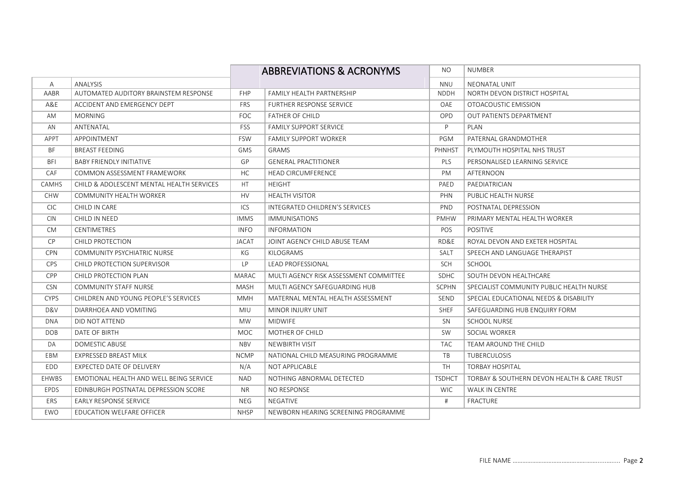|             |                                           |             | <b>ABBREVIATIONS &amp; ACRONYMS</b>    | NO.           | <b>NUMBER</b>                               |
|-------------|-------------------------------------------|-------------|----------------------------------------|---------------|---------------------------------------------|
| A           | <b>ANALYSIS</b>                           |             |                                        | <b>NNU</b>    | <b>NEONATAL UNIT</b>                        |
| AABR        | AUTOMATED AUDITORY BRAINSTEM RESPONSE     | <b>FHP</b>  | FAMILY HEALTH PARTNERSHIP              | <b>NDDH</b>   | NORTH DEVON DISTRICT HOSPITAL               |
| A&E         | ACCIDENT AND EMERGENCY DEPT               | <b>FRS</b>  | <b>FURTHER RESPONSE SERVICE</b>        | OAE           | OTOACOUSTIC EMISSION                        |
| AM          | <b>MORNING</b>                            | <b>FOC</b>  | <b>FATHER OF CHILD</b>                 | OPD           | <b>OUT PATIENTS DEPARTMENT</b>              |
| AN          | ANTENATAL                                 | <b>FSS</b>  | <b>FAMILY SUPPORT SERVICE</b>          | P             | PLAN                                        |
| APPT        | APPOINTMENT                               | <b>FSW</b>  | <b>FAMILY SUPPORT WORKER</b>           | PGM           | PATERNAL GRANDMOTHER                        |
| BF.         | <b>BREAST FEEDING</b>                     | <b>GMS</b>  | <b>GRAMS</b>                           | <b>PHNHST</b> | PLYMOUTH HOSPITAL NHS TRUST                 |
| <b>BFI</b>  | <b>BABY FRIENDLY INITIATIVE</b>           | GP          | <b>GENERAL PRACTITIONER</b>            | PLS           | PERSONALISED LEARNING SERVICE               |
| CAF         | COMMON ASSESSMENT FRAMEWORK               | HC          | <b>HEAD CIRCUMFERENCE</b>              | PM            | AFTERNOON                                   |
| CAMHS       | CHILD & ADOLESCENT MENTAL HEALTH SERVICES | HT          | <b>HEIGHT</b>                          | PAED          | PAEDIATRICIAN                               |
| <b>CHW</b>  | COMMUNITY HEALTH WORKER                   | <b>HV</b>   | <b>HEALTH VISITOR</b>                  | PHN           | PUBLIC HEALTH NURSE                         |
| CIC.        | CHILD IN CARE                             | ICS         | INTEGRATED CHILDREN'S SERVICES         | <b>PND</b>    | POSTNATAL DEPRESSION                        |
| <b>CIN</b>  | CHILD IN NEED                             | <b>IMMS</b> | <b>IMMUNISATIONS</b>                   | <b>PMHW</b>   | PRIMARY MENTAL HEALTH WORKER                |
| <b>CM</b>   | <b>CENTIMETRES</b>                        | <b>INFO</b> | <b>INFORMATION</b>                     | POS           | <b>POSITIVE</b>                             |
| CP          | <b>CHILD PROTECTION</b>                   | JACAT       | JOINT AGENCY CHILD ABUSE TEAM          | RD&E          | ROYAL DEVON AND EXETER HOSPITAL             |
| <b>CPN</b>  | COMMUNITY PSYCHIATRIC NURSE               | КG          | KILOGRAMS                              | SALT          | SPEECH AND LANGUAGE THERAPIST               |
| <b>CPS</b>  | CHILD PROTECTION SUPERVISOR               | LP.         | <b>LEAD PROFESSIONAL</b>               | <b>SCH</b>    | <b>SCHOOL</b>                               |
| <b>CPP</b>  | CHILD PROTECTION PLAN                     | MARAC       | MULTI AGENCY RISK ASSESSMENT COMMITTEE | <b>SDHC</b>   | SOUTH DEVON HEALTHCARE                      |
| <b>CSN</b>  | <b>COMMUNITY STAFF NURSE</b>              | <b>MASH</b> | MULTI AGENCY SAFEGUARDING HUB          | <b>SCPHN</b>  | SPECIALIST COMMUNITY PUBLIC HEALTH NURSE    |
| <b>CYPS</b> | CHILDREN AND YOUNG PEOPLE'S SERVICES      | <b>MMH</b>  | MATERNAL MENTAL HEALTH ASSESSMENT      | <b>SEND</b>   | SPECIAL EDUCATIONAL NEEDS & DISABILITY      |
| D&V         | DIARRHOEA AND VOMITING                    | MIU         | MINOR INJURY UNIT                      | <b>SHEF</b>   | SAFEGUARDING HUB ENQUIRY FORM               |
| DNA         | DID NOT ATTEND                            | <b>MW</b>   | <b>MIDWIFE</b>                         | <b>SN</b>     | <b>SCHOOL NURSE</b>                         |
| DOB         | DATE OF BIRTH                             | <b>MOC</b>  | <b>MOTHER OF CHILD</b>                 | <b>SW</b>     | SOCIAL WORKER                               |
| DA          | DOMESTIC ABUSE                            | <b>NBV</b>  | <b>NEWBIRTH VISIT</b>                  | <b>TAC</b>    | TEAM AROUND THE CHILD                       |
| EBM         | <b>EXPRESSED BREAST MILK</b>              | <b>NCMP</b> | NATIONAL CHILD MEASURING PROGRAMME     | TB            | <b>TUBERCULOSIS</b>                         |
| EDD.        | EXPECTED DATE OF DELIVERY                 | N/A         | <b>NOT APPLICABLE</b>                  | TH.           | <b>TORBAY HOSPITAL</b>                      |
| EHWBS       | EMOTIONAL HEALTH AND WELL BEING SERVICE   | NAD         | NOTHING ABNORMAL DETECTED              | <b>TSDHCT</b> | TORBAY & SOUTHERN DEVON HEALTH & CARE TRUST |
| <b>EPDS</b> | EDINBURGH POSTNATAL DEPRESSION SCORE      | NR.         | NO RESPONSE                            | <b>WIC</b>    | <b>WALK IN CENTRE</b>                       |
| ERS         | <b>EARLY RESPONSE SERVICE</b>             | <b>NEG</b>  | <b>NEGATIVE</b>                        | #             | FRACTURE                                    |
| EWO         | EDUCATION WELFARE OFFICER                 | <b>NHSP</b> | NEWBORN HEARING SCREENING PROGRAMME    |               |                                             |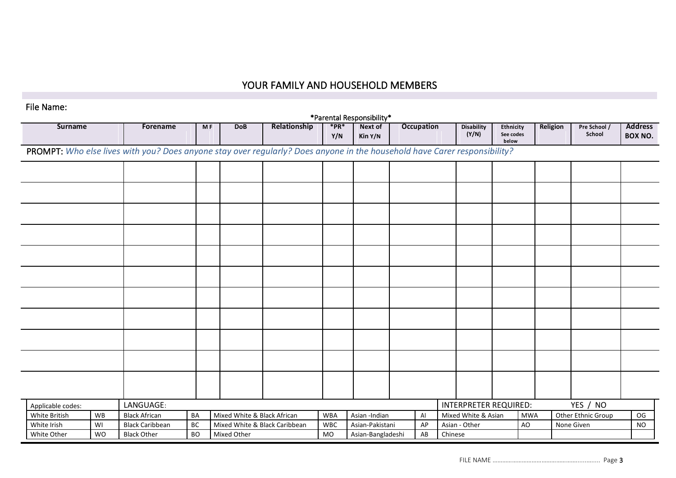# YOUR FAMILY AND HOUSEHOLD MEMBERS

## File Name:

| *Parental Responsibility* |           |                                                                                                                           |           |                             |                               |                   |                    |  |                   |         |                              |                                 |            |          |                        |                                  |
|---------------------------|-----------|---------------------------------------------------------------------------------------------------------------------------|-----------|-----------------------------|-------------------------------|-------------------|--------------------|--|-------------------|---------|------------------------------|---------------------------------|------------|----------|------------------------|----------------------------------|
| <b>Surname</b>            |           | Forename                                                                                                                  | <b>MF</b> | <b>DoB</b>                  | Relationship                  | $*$ PR $*$<br>Y/N | Next of<br>Kin Y/N |  | <b>Occupation</b> |         | <b>Disability</b><br>(Y/N)   | Ethnicity<br>See codes<br>below |            | Religion | Pre School /<br>School | <b>Address</b><br><b>BOX NO.</b> |
|                           |           | PROMPT: Who else lives with you? Does anyone stay over regularly? Does anyone in the household have Carer responsibility? |           |                             |                               |                   |                    |  |                   |         |                              |                                 |            |          |                        |                                  |
|                           |           |                                                                                                                           |           |                             |                               |                   |                    |  |                   |         |                              |                                 |            |          |                        |                                  |
|                           |           |                                                                                                                           |           |                             |                               |                   |                    |  |                   |         |                              |                                 |            |          |                        |                                  |
|                           |           |                                                                                                                           |           |                             |                               |                   |                    |  |                   |         |                              |                                 |            |          |                        |                                  |
|                           |           |                                                                                                                           |           |                             |                               |                   |                    |  |                   |         |                              |                                 |            |          |                        |                                  |
|                           |           |                                                                                                                           |           |                             |                               |                   |                    |  |                   |         |                              |                                 |            |          |                        |                                  |
|                           |           |                                                                                                                           |           |                             |                               |                   |                    |  |                   |         |                              |                                 |            |          |                        |                                  |
|                           |           |                                                                                                                           |           |                             |                               |                   |                    |  |                   |         |                              |                                 |            |          |                        |                                  |
|                           |           |                                                                                                                           |           |                             |                               |                   |                    |  |                   |         |                              |                                 |            |          |                        |                                  |
|                           |           |                                                                                                                           |           |                             |                               |                   |                    |  |                   |         |                              |                                 |            |          |                        |                                  |
|                           |           |                                                                                                                           |           |                             |                               |                   |                    |  |                   |         |                              |                                 |            |          |                        |                                  |
|                           |           |                                                                                                                           |           |                             |                               |                   |                    |  |                   |         |                              |                                 |            |          |                        |                                  |
|                           |           |                                                                                                                           |           |                             |                               |                   |                    |  |                   |         |                              |                                 |            |          |                        |                                  |
|                           |           |                                                                                                                           |           |                             |                               |                   |                    |  |                   |         |                              |                                 |            |          |                        |                                  |
|                           |           |                                                                                                                           |           |                             |                               |                   |                    |  |                   |         |                              |                                 |            |          |                        |                                  |
|                           |           |                                                                                                                           |           |                             |                               |                   |                    |  |                   |         |                              |                                 |            |          |                        |                                  |
|                           |           |                                                                                                                           |           |                             |                               |                   |                    |  |                   |         |                              |                                 |            |          |                        |                                  |
|                           |           |                                                                                                                           |           |                             |                               |                   |                    |  |                   |         |                              |                                 |            |          |                        |                                  |
|                           |           |                                                                                                                           |           |                             |                               |                   |                    |  |                   |         |                              |                                 |            |          |                        |                                  |
| Applicable codes:         |           | LANGUAGE:                                                                                                                 |           |                             |                               |                   |                    |  |                   |         | <b>INTERPRETER REQUIRED:</b> |                                 |            |          | YES / NO               |                                  |
| White British             | WB        | <b>Black African</b>                                                                                                      | BA        | Mixed White & Black African |                               | <b>WBA</b>        | Asian -Indian      |  | Al                |         | Mixed White & Asian          |                                 | <b>MWA</b> |          | Other Ethnic Group     | OG                               |
| White Irish               | WI        | <b>Black Caribbean</b>                                                                                                    | BC        |                             | Mixed White & Black Caribbean | <b>WBC</b>        | Asian-Pakistani    |  | AP                |         | Asian - Other                |                                 | AO         |          | None Given             | <b>NO</b>                        |
| White Other               | <b>WO</b> | <b>Black Other</b>                                                                                                        | <b>BO</b> | Mixed Other                 |                               | <b>MO</b>         | Asian-Bangladeshi  |  | AB                | Chinese |                              |                                 |            |          |                        |                                  |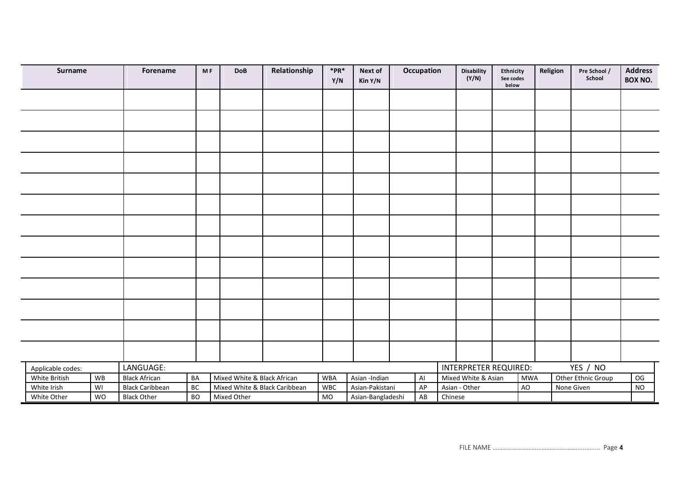|                                | Surname       |    | Forename               | <b>MF</b> | <b>DoB</b>                  | Relationship                  | $*$ PR $*$<br>Y/N | Next of<br>Kin Y/N           | Occupation |         | <b>Disability</b><br>(Y/N) | <b>Ethnicity</b><br>See codes<br>below |            | Religion | Pre School /<br>School | <b>Address</b><br><b>BOX NO.</b> |
|--------------------------------|---------------|----|------------------------|-----------|-----------------------------|-------------------------------|-------------------|------------------------------|------------|---------|----------------------------|----------------------------------------|------------|----------|------------------------|----------------------------------|
|                                |               |    |                        |           |                             |                               |                   |                              |            |         |                            |                                        |            |          |                        |                                  |
|                                |               |    |                        |           |                             |                               |                   |                              |            |         |                            |                                        |            |          |                        |                                  |
|                                |               |    |                        |           |                             |                               |                   |                              |            |         |                            |                                        |            |          |                        |                                  |
|                                |               |    |                        |           |                             |                               |                   |                              |            |         |                            |                                        |            |          |                        |                                  |
|                                |               |    |                        |           |                             |                               |                   |                              |            |         |                            |                                        |            |          |                        |                                  |
|                                |               |    |                        |           |                             |                               |                   |                              |            |         |                            |                                        |            |          |                        |                                  |
|                                |               |    |                        |           |                             |                               |                   |                              |            |         |                            |                                        |            |          |                        |                                  |
|                                |               |    |                        |           |                             |                               |                   |                              |            |         |                            |                                        |            |          |                        |                                  |
|                                |               |    |                        |           |                             |                               |                   |                              |            |         |                            |                                        |            |          |                        |                                  |
|                                |               |    |                        |           |                             |                               |                   |                              |            |         |                            |                                        |            |          |                        |                                  |
|                                |               |    |                        |           |                             |                               |                   |                              |            |         |                            |                                        |            |          |                        |                                  |
|                                |               |    |                        |           |                             |                               |                   |                              |            |         |                            |                                        |            |          |                        |                                  |
|                                |               |    |                        |           |                             |                               |                   |                              |            |         |                            |                                        |            |          |                        |                                  |
| LANGUAGE:<br>Applicable codes: |               |    |                        |           |                             |                               |                   | <b>INTERPRETER REQUIRED:</b> |            |         |                            | YES / NO                               |            |          |                        |                                  |
|                                | White British | WB | <b>Black African</b>   | BA        | Mixed White & Black African |                               | <b>WBA</b>        | Asian -Indian                | AI         |         | Mixed White & Asian        |                                        | <b>MWA</b> |          | Other Ethnic Group     | OG                               |
|                                | White Irish   | WI | <b>Black Caribbean</b> | BC        |                             | Mixed White & Black Caribbean | <b>WBC</b>        | Asian-Pakistani              | AP         |         | Asian - Other              |                                        | AO         |          | None Given             | <b>NO</b>                        |
|                                | White Other   | WO | <b>Black Other</b>     | <b>BO</b> | Mixed Other                 |                               | MO                | Asian-Bangladeshi            | AB         | Chinese |                            |                                        |            |          |                        |                                  |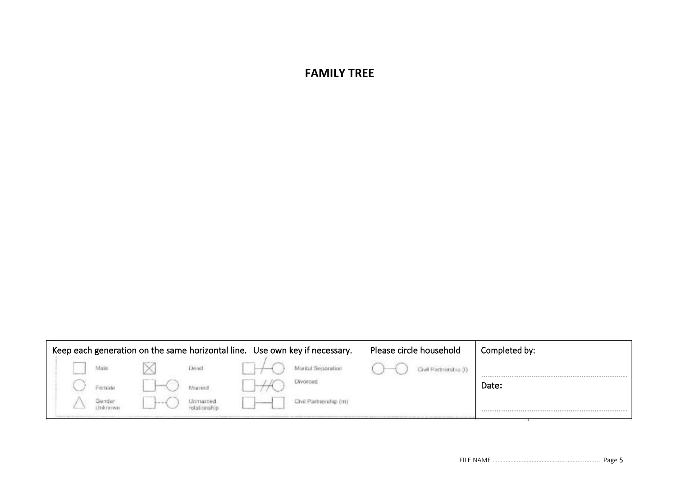# **FAMILY TREE**

| Keep each generation on the same horizontal line. Use own key if necessary. |  |       |       |                       |  |                       | Please circle household      | Completed by: |
|-----------------------------------------------------------------------------|--|-------|-------|-----------------------|--|-----------------------|------------------------------|---------------|
|                                                                             |  | Malio |       | Dead                  |  | Marital Separation    | <b>Civil Partnarchio (0)</b> |               |
|                                                                             |  | emale |       | Auction               |  | <b>Divorced</b>       |                              | Date:         |
|                                                                             |  |       | 10000 | <i><b>Unmarne</b></i> |  | Civil Partnership (m) |                              |               |
|                                                                             |  |       |       |                       |  |                       |                              |               |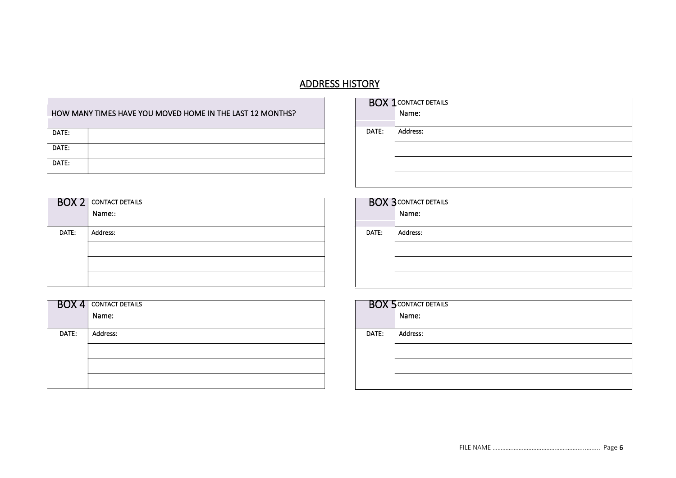# ADDRESS HISTORY

|       | HOW MANY TIMES HAVE YOU MOVED HOME IN THE LAST 12 MONTHS? |
|-------|-----------------------------------------------------------|
| DATE: |                                                           |
| DATE: |                                                           |
| DATE: |                                                           |

| BOX 2 | <b>CONTACT DETAILS</b> | BOX 3 CONTACT |          |
|-------|------------------------|---------------|----------|
|       | Name::                 |               |          |
| DATE: | <b>Address:</b>        | DATE:         | Address: |
|       |                        |               |          |
|       |                        |               |          |
|       |                        |               |          |

| BOX 4 | <b>CONTACT DETAILS</b> | <b>BOX 5 CONTACT</b> |          |
|-------|------------------------|----------------------|----------|
|       | Name:                  |                      |          |
| DATE: | Address:               | DATE:                | Address: |
|       |                        |                      |          |
|       |                        |                      |          |
|       |                        |                      |          |

|       | <b>BOX 1 CONTACT DETAILS</b><br>Name: |
|-------|---------------------------------------|
|       |                                       |
|       |                                       |
| DATE: | Address:                              |
|       |                                       |
|       |                                       |
|       |                                       |
|       |                                       |
|       |                                       |
|       |                                       |

|       | <b>BOX 3 CONTACT DETAILS</b><br>Name: |
|-------|---------------------------------------|
|       |                                       |
|       |                                       |
| DATE: | Address:                              |
|       |                                       |
|       |                                       |
|       |                                       |

|       | <b>BOX 5 CONTACT DETAILS</b> |
|-------|------------------------------|
|       |                              |
| DATE: | Address:                     |
|       |                              |
|       |                              |
|       |                              |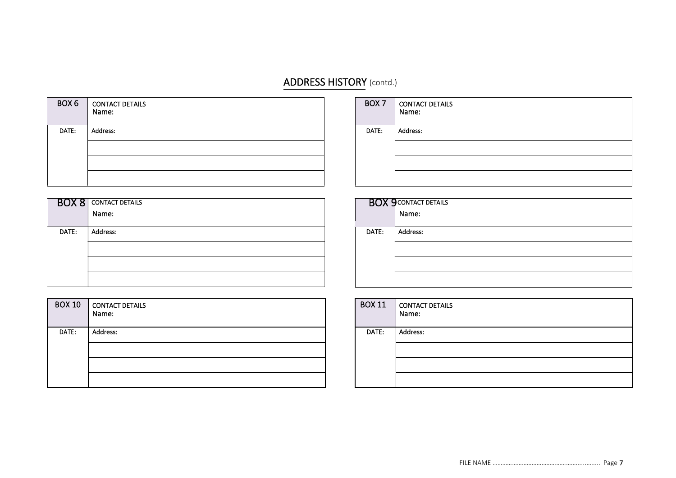# ADDRESS HISTORY (contd.)

| BOX <sub>6</sub> | <b>CONTACT DETAILS</b><br>Name: | BOX <sub>7</sub> | <b>CONTACT DETAILS</b><br>Name: |
|------------------|---------------------------------|------------------|---------------------------------|
| DATE:            | Address:                        | DATE:            | Address:                        |
|                  |                                 |                  |                                 |
|                  |                                 |                  |                                 |
|                  |                                 |                  |                                 |

|       | <b>BOX 8</b> CONTACT DETAILS<br>Name: |
|-------|---------------------------------------|
| DATE: | Address:                              |
|       |                                       |
|       |                                       |
|       |                                       |

| <b>BOX 10</b> | CONTACT DETAILS<br>Name: |
|---------------|--------------------------|
| DATE:         | Address:                 |
|               |                          |

| BOX <sub>7</sub> | <b>CONTACT DETAILS</b><br>Name: |
|------------------|---------------------------------|
| DATE:            | Address:                        |
|                  |                                 |
|                  |                                 |
|                  |                                 |

|       | <b>BOX 9 CONTACT DETAILS</b><br>Name: |
|-------|---------------------------------------|
|       |                                       |
|       |                                       |
| DATE: | Address:                              |
|       |                                       |
|       |                                       |
|       |                                       |

| <b>BOX 11</b> | CONTACT DETAILS<br>Name: |
|---------------|--------------------------|
| DATE:         | Address:                 |
|               |                          |
|               |                          |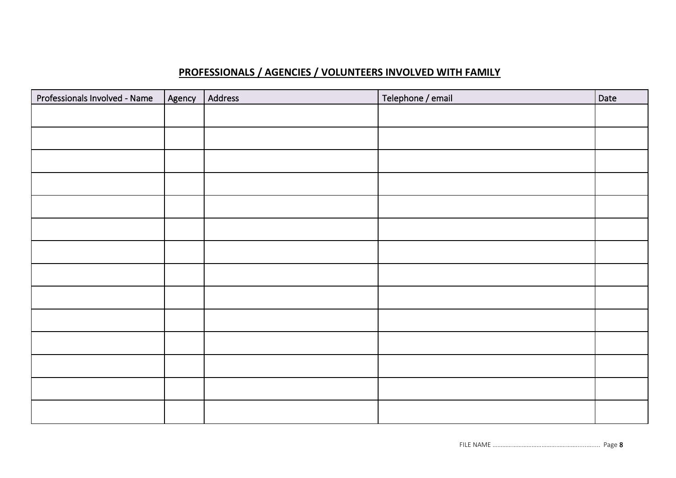# **PROFESSIONALS / AGENCIES / VOLUNTEERS INVOLVED WITH FAMILY**

| Professionals Involved - Name | Agency | Address | Telephone / email | Date |
|-------------------------------|--------|---------|-------------------|------|
|                               |        |         |                   |      |
|                               |        |         |                   |      |
|                               |        |         |                   |      |
|                               |        |         |                   |      |
|                               |        |         |                   |      |
|                               |        |         |                   |      |
|                               |        |         |                   |      |
|                               |        |         |                   |      |
|                               |        |         |                   |      |
|                               |        |         |                   |      |
|                               |        |         |                   |      |
|                               |        |         |                   |      |
|                               |        |         |                   |      |
|                               |        |         |                   |      |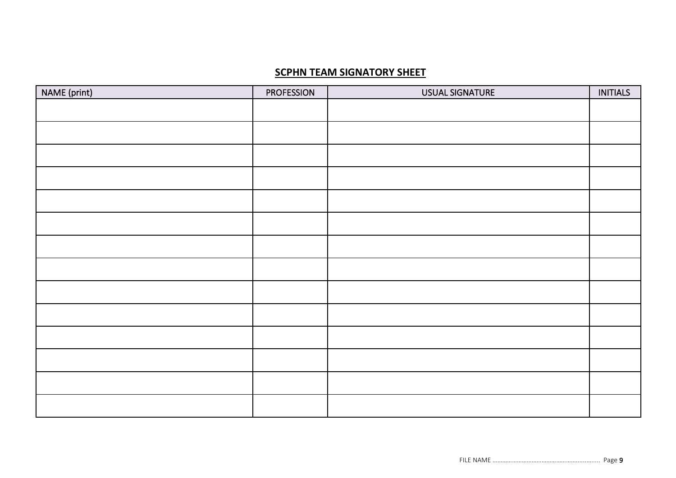# **SCPHN TEAM SIGNATORY SHEET**

| NAME (print) | <b>PROFESSION</b> | USUAL SIGNATURE | <b>INITIALS</b> |
|--------------|-------------------|-----------------|-----------------|
|              |                   |                 |                 |
|              |                   |                 |                 |
|              |                   |                 |                 |
|              |                   |                 |                 |
|              |                   |                 |                 |
|              |                   |                 |                 |
|              |                   |                 |                 |
|              |                   |                 |                 |
|              |                   |                 |                 |
|              |                   |                 |                 |
|              |                   |                 |                 |
|              |                   |                 |                 |
|              |                   |                 |                 |
|              |                   |                 |                 |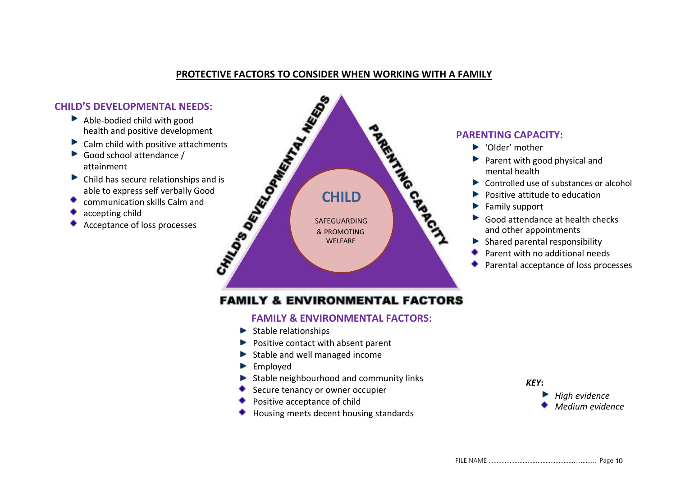# **PROTECTIVE FACTORS TO CONSIDER WHEN WORKING WITH A FAMILY**

- Able-bodied child with good health and positive development
- Calm child with positive attachments
- Þ Good school attendance / attainment
- Child has secure relationships and is able to express self verbally Good
- communication skills Calm and
- accepting child
- Acceptance of loss processes



# **PARENTING CAPACITY:**

- ▶ 'Older' mother
- $\blacktriangleright$  Parent with good physical and mental health
- ▶ Controlled use of substances or alcohol
- Positive attitude to education ь
- Family support
- Good attendance at health checks and other appointments
- Shared parental responsibility Þ
- Parent with no additional needs
- Parental acceptance of loss processes

# **FAMILY & ENVIRONMENTAL FACTORS**

### **FAMILY & ENVIRONMENTAL FACTORS:**

- $\blacktriangleright$  Stable relationships
- $\blacktriangleright$  Positive contact with absent parent
- $\blacktriangleright$  Stable and well managed income
- Employed Þ
- Stable neighbourhood and community links
- Secure tenancy or owner occupier
- Positive acceptance of child
- Housing meets decent housing standards

### *KEY***:**

*High evidence Medium evidence*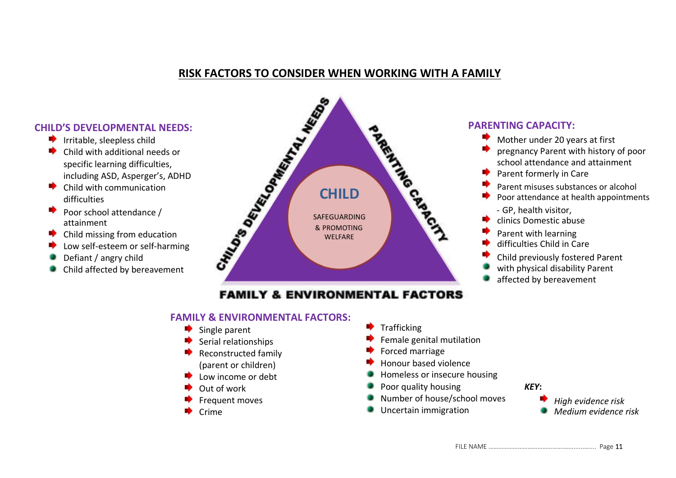# **RISK FACTORS TO CONSIDER WHEN WORKING WITH A FAMILY**

# **CHILD'S DEVELOPMENTAL NEEDS:**

- $\blacktriangleright$  Irritable, sleepless child
- **Index** Child with additional needs or specific learning difficulties, including ASD, Asperger's, ADHD
- $\bullet$  Child with communication difficulties
- Poor school attendance / attainment
- **Child missing from education**
- Low self-esteem or self-harming
- Defiant / angry child
- Child affected by bereavement



# **FAMILY & ENVIRONMENTAL FACTORS**

# **FAMILY & ENVIRONMENTAL FACTORS:**

- Single parent
	- Serial relationships
- Reconstructed family (parent or children)
- Low income or debt
- Out of work
- Frequent moves
- Crime
- Trafficking
- Female genital mutilation
- Forced marriage
- Honour based violence
- Homeless or insecure housing
- Poor quality housing *KEY***:**
- Number of house/school moves
- Uncertain immigration

# **PARENTING CAPACITY:**

- Mother under 20 years at first
- pregnancy Parent with history of poor school attendance and attainment
- Parent formerly in Care
- Parent misuses substances or alcohol
- Poor attendance at health appointments
	- GP, health visitor,
- clinics Domestic abuse
- Parent with learning
- difficulties Child in Care
- Child previously fostered Parent
- with physical disability Parent
- affected by bereavement



*High evidence risk Medium evidence risk*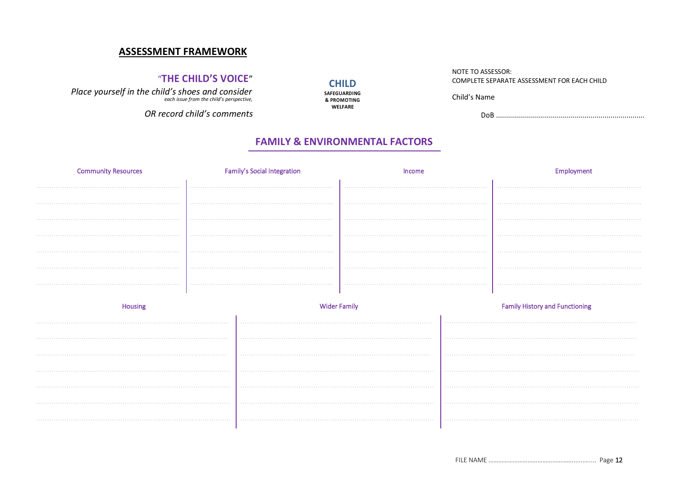## **ASSESSMENT FRAMEWORK**

## "THE CHILD'S VOICE"

Place yourself in the child's shoes and consider<br>each issue from the child's perspective,

OR record child's comments

### NOTE TO ASSESSOR: COMPLETE SEPARATE ASSESSMENT FOR FACH CHILD

Child's Name

# **FAMILY & ENVIRONMENTAL FACTORS**

**CHILD** 

SAFEGUARDING

& PROMOTING **WELFARE** 

| <b>Community Resources</b> | <b>Family's Social Integration</b> | Income | Employment                            |
|----------------------------|------------------------------------|--------|---------------------------------------|
|                            |                                    |        |                                       |
|                            |                                    |        |                                       |
|                            |                                    |        |                                       |
|                            |                                    |        |                                       |
|                            |                                    |        |                                       |
|                            |                                    |        |                                       |
|                            |                                    |        |                                       |
|                            |                                    |        |                                       |
| Housing                    | <b>Wider Family</b>                |        | <b>Family History and Functioning</b> |
|                            |                                    |        |                                       |
|                            |                                    |        |                                       |
|                            |                                    |        |                                       |
|                            |                                    |        |                                       |
|                            |                                    |        |                                       |
|                            |                                    |        |                                       |
|                            |                                    |        |                                       |
|                            |                                    |        |                                       |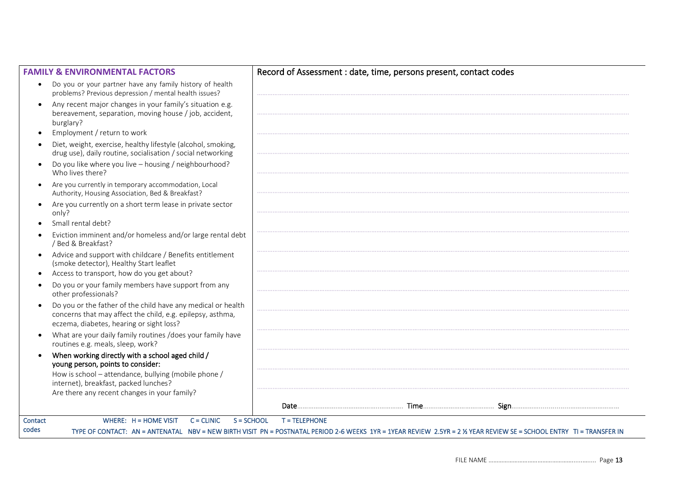| <b>FAMILY &amp; ENVIRONMENTAL FACTORS</b>                                                                                                                              | Record of Assessment : date, time, persons present, contact codes |
|------------------------------------------------------------------------------------------------------------------------------------------------------------------------|-------------------------------------------------------------------|
| Do you or your partner have any family history of health<br>problems? Previous depression / mental health issues?                                                      |                                                                   |
| Any recent major changes in your family's situation e.g.<br>bereavement, separation, moving house / job, accident,<br>burglary?                                        |                                                                   |
| Employment / return to work<br>$\bullet$                                                                                                                               |                                                                   |
| Diet, weight, exercise, healthy lifestyle (alcohol, smoking,<br>drug use), daily routine, socialisation / social networking                                            |                                                                   |
| Do you like where you live - housing / neighbourhood?<br>Who lives there?                                                                                              |                                                                   |
| Are you currently in temporary accommodation, Local<br>Authority, Housing Association, Bed & Breakfast?                                                                |                                                                   |
| Are you currently on a short term lease in private sector<br>only?                                                                                                     |                                                                   |
| Small rental debt?                                                                                                                                                     |                                                                   |
| Eviction imminent and/or homeless and/or large rental debt<br>/ Bed & Breakfast?                                                                                       |                                                                   |
| Advice and support with childcare / Benefits entitlement<br>(smoke detector), Healthy Start leaflet<br>Access to transport, how do you get about?                      |                                                                   |
| Do you or your family members have support from any<br>other professionals?                                                                                            |                                                                   |
| Do you or the father of the child have any medical or health<br>concerns that may affect the child, e.g. epilepsy, asthma,<br>eczema, diabetes, hearing or sight loss? |                                                                   |
| What are your daily family routines /does your family have<br>routines e.g. meals, sleep, work?                                                                        |                                                                   |
| When working directly with a school aged child /<br>young person, points to consider:                                                                                  |                                                                   |
| How is school - attendance, bullying (mobile phone /<br>internet), breakfast, packed lunches?                                                                          |                                                                   |
| Are there any recent changes in your family?                                                                                                                           |                                                                   |
|                                                                                                                                                                        |                                                                   |
| WHERE: $H = HOME$ VISIT<br>$C = CLINIC$<br>Contact                                                                                                                     | $S = SCHOOL$<br><b>T = TELEPHONE</b>                              |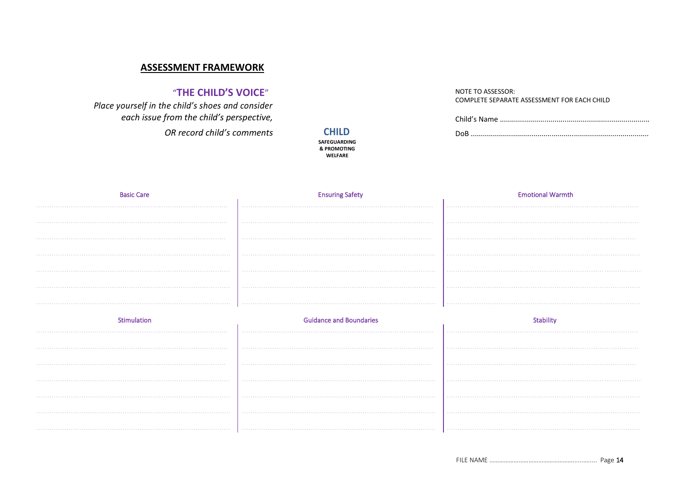# **ASSESSMENT FRAMEWORK**

# "THE CHILD'S VOICE"

Place yourself in the child's shoes and consider each issue from the child's perspective, OR record child's comments

**CHILD SAFEGUARDING** & PROMOTING **WELFARE** 

NOTE TO ASSESSOR: COMPLETE SEPARATE ASSESSMENT FOR EACH CHILD

| <b>Basic Care</b> | <b>Ensuring Safety</b>         | <b>Emotional Warmth</b> |
|-------------------|--------------------------------|-------------------------|
|                   |                                |                         |
|                   |                                |                         |
|                   |                                |                         |
|                   |                                |                         |
|                   |                                |                         |
|                   |                                |                         |
|                   |                                |                         |
|                   |                                |                         |
| Stimulation       | <b>Guidance and Boundaries</b> | <b>Stability</b>        |
|                   |                                |                         |
|                   |                                |                         |
|                   |                                |                         |
|                   |                                |                         |
|                   |                                |                         |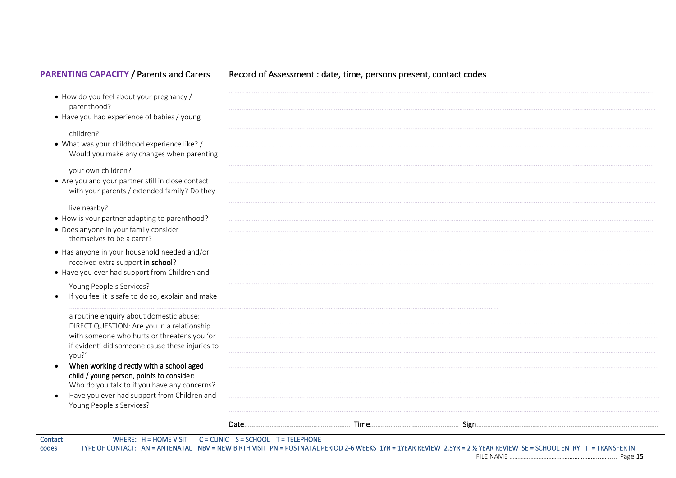# PARENTING CAPACITY / Parents and Carers Record of Assessment : date, time, persons present, contact codes

| • How do you feel about your pregnancy /<br>parenthood?                                           |  |  |
|---------------------------------------------------------------------------------------------------|--|--|
| • Have you had experience of babies / young                                                       |  |  |
| children?                                                                                         |  |  |
| • What was your childhood experience like? /                                                      |  |  |
| Would you make any changes when parenting                                                         |  |  |
| your own children?                                                                                |  |  |
| • Are you and your partner still in close contact<br>with your parents / extended family? Do they |  |  |
| live nearby?                                                                                      |  |  |
| • How is your partner adapting to parenthood?                                                     |  |  |
| • Does anyone in your family consider<br>themselves to be a carer?                                |  |  |
| • Has anyone in your household needed and/or<br>received extra support in school?                 |  |  |
| • Have you ever had support from Children and                                                     |  |  |
| Young People's Services?                                                                          |  |  |
| If you feel it is safe to do so, explain and make                                                 |  |  |
| a routine enquiry about domestic abuse:                                                           |  |  |
| DIRECT QUESTION: Are you in a relationship                                                        |  |  |
| with someone who hurts or threatens you 'or<br>if evident' did someone cause these injuries to    |  |  |
| you?'                                                                                             |  |  |
| When working directly with a school aged<br>$\bullet$                                             |  |  |
| child / young person, points to consider:<br>Who do you talk to if you have any concerns?         |  |  |
| Have you ever had support from Children and<br>$\bullet$                                          |  |  |
| Young People's Services?                                                                          |  |  |
|                                                                                                   |  |  |

Contact WHERE: H = HOME VISIT C = CLINIC S = SCHOOL T = TELEPHONE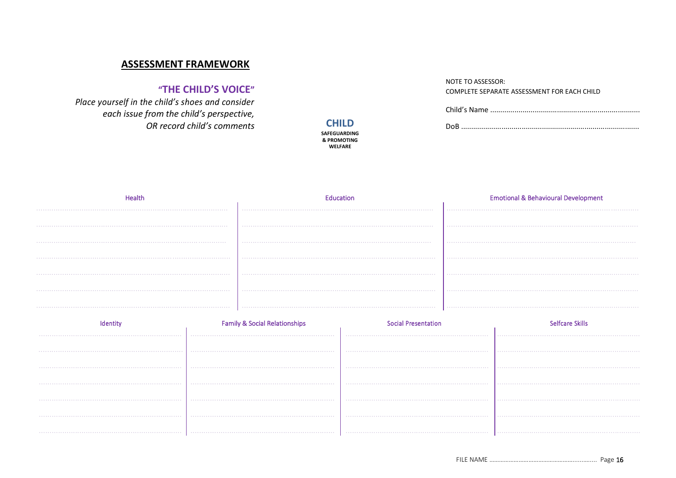# **ASSESSMENT FRAMEWORK**

# "THE CHILD'S VOICE"

Place yourself in the child's shoes and consider each issue from the child's perspective, OR record child's comments

### **CHILD SAFEGUARDING** & PROMOTING **WELFARE**

### NOTE TO ASSESSOR: COMPLETE SEPARATE ASSESSMENT FOR EACH CHILD

|  | <b>Emotional &amp; Behavioural Development</b> |
|--|------------------------------------------------|
|  |                                                |
|  |                                                |
|  |                                                |
|  |                                                |
|  |                                                |
|  |                                                |

| <b>Family &amp; Social Relationships</b> |  |
|------------------------------------------|--|
|                                          |  |
|                                          |  |
|                                          |  |
|                                          |  |
|                                          |  |
|                                          |  |
|                                          |  |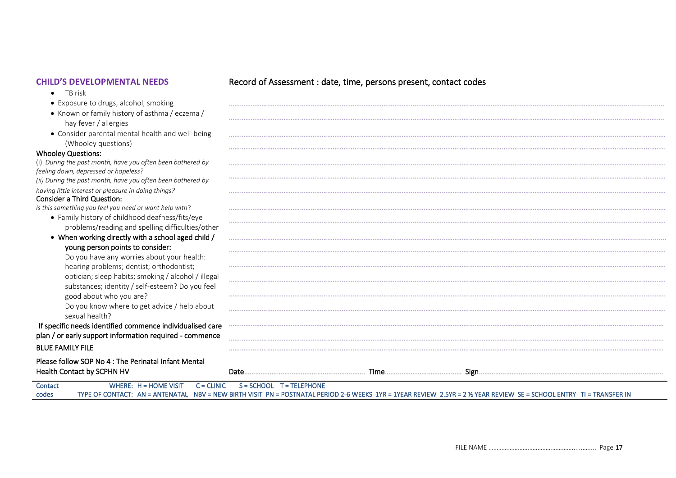- TB risk
- Exposure to drugs, alcohol, smoking
- Known or family history of asthma / eczema / hay fever / allergies
- Consider parental mental health and well-being <br>(Whooley questions) (Whooley questions) …………………………………………………………………………………………………………………………………………………………………………………….……………………………..

### Whooley Questions:

(i) *During the past month, have you often been bothered by feeling down, depressed or hopeless? (ii) During the past month, have you often been bothered by having little interest or pleasure in doing things?* 

### Consider a Third Question:

*Is this something you feel you need or want help with*?

- Family history of childhood deafness/fits/eye problems/reading and spelling difficulties/other
- When working directly with a school aged child / young person points to consider:

Do you have any worries about your health: hearing problems; dentist; orthodontist; optician; sleep habits; smoking / alcohol / illegal substances; identity / self-esteem? Do you feel good about who you are?

Do you know where to get advice / help about sexual health?

### If specific needs identified commence individualised care plan / or early support information required - commence BLUE FAMILY FILE ………………………………………………………………………………………………………………………………………………………….……………………………………………………….

Please follow SOP No 4 : The Perinatal Infant Mental Health Contact by SCPHN HV Date………………….…………………..….……….……. Time……..…………………….……… Sign………………………………….……………………………….………….………..

………………………………………………………………………………………………………………………………………………………………………………………..………………………….

……………………………………………………………………………………………………………………………………………………………………………….………………………………….

|         | <b>THE SIGNAL CONTRACT DY JOINT THAT IT V</b> | valc                                                                                                                                                                |  |
|---------|-----------------------------------------------|---------------------------------------------------------------------------------------------------------------------------------------------------------------------|--|
| Contact |                                               | WHERE: $H = HOME VISIT$ $C = CLINIC$ $S = SCHOOL$ $T = TELEPHONE$                                                                                                   |  |
| codes   |                                               | TYPE OF CONTACT: AN = ANTENATAL NBV = NEW BIRTH VISIT PN = POSTNATAL PERIOD 2-6 WEEKS 1YR = 1YEAR REVIEW 2.5YR = 2 % YEAR REVIEW SE = SCHOOL ENTRY TI = TRANSFER IN |  |

### **CHILD'S DEVELOPMENTAL NEEDS** Record of Assessment : date, time, persons present, contact codes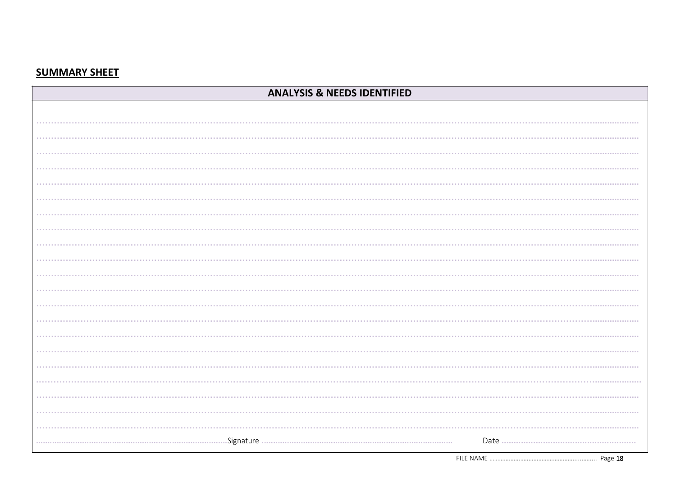# **SUMMARY SHEET**

| <b>ANALYSIS &amp; NEEDS IDENTIFIED</b> |  |  |
|----------------------------------------|--|--|
|                                        |  |  |
|                                        |  |  |
|                                        |  |  |
|                                        |  |  |
|                                        |  |  |
|                                        |  |  |
|                                        |  |  |
|                                        |  |  |
|                                        |  |  |
|                                        |  |  |
|                                        |  |  |
|                                        |  |  |
|                                        |  |  |
|                                        |  |  |
|                                        |  |  |
|                                        |  |  |
|                                        |  |  |
|                                        |  |  |
|                                        |  |  |
|                                        |  |  |
|                                        |  |  |
|                                        |  |  |
|                                        |  |  |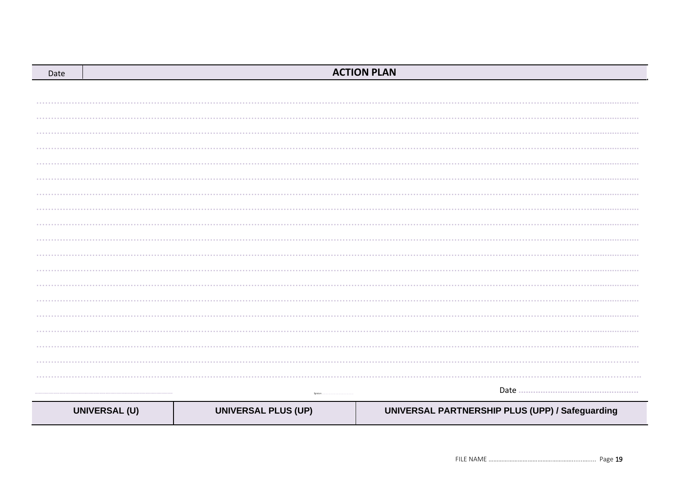| Date |                      |                            | <b>ACTION PLAN</b>                              |
|------|----------------------|----------------------------|-------------------------------------------------|
|      |                      |                            |                                                 |
|      |                      |                            |                                                 |
|      |                      |                            |                                                 |
|      |                      |                            |                                                 |
|      |                      |                            |                                                 |
|      |                      |                            |                                                 |
|      |                      |                            |                                                 |
|      |                      |                            |                                                 |
|      |                      |                            |                                                 |
|      |                      |                            |                                                 |
|      |                      |                            |                                                 |
|      |                      |                            |                                                 |
|      |                      |                            |                                                 |
|      |                      |                            |                                                 |
|      |                      |                            |                                                 |
|      |                      |                            |                                                 |
|      |                      |                            |                                                 |
|      |                      |                            |                                                 |
|      |                      |                            |                                                 |
|      |                      |                            |                                                 |
|      |                      | Signature.                 |                                                 |
|      | <b>UNIVERSAL (U)</b> | <b>UNIVERSAL PLUS (UP)</b> | UNIVERSAL PARTNERSHIP PLUS (UPP) / Safeguarding |
|      |                      |                            |                                                 |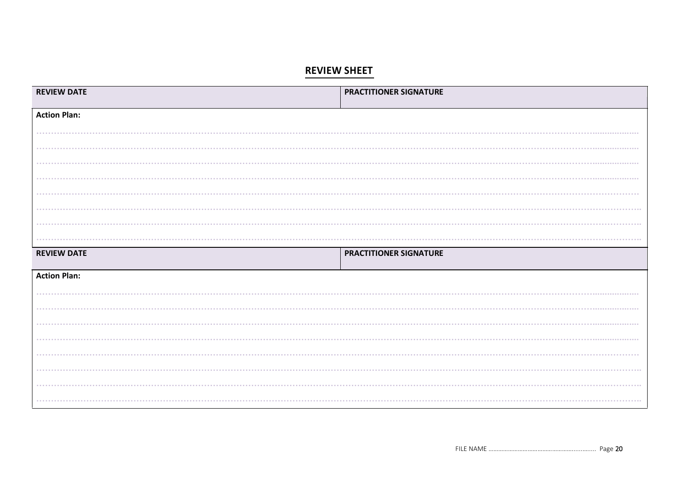# **REVIEW SHEET**

| <b>REVIEW DATE</b>  | PRACTITIONER SIGNATURE |
|---------------------|------------------------|
| <b>Action Plan:</b> |                        |
| .                   |                        |
|                     |                        |
|                     |                        |
| .                   |                        |
|                     |                        |
| <b>REVIEW DATE</b>  | PRACTITIONER SIGNATURE |
|                     |                        |
| <b>Action Plan:</b> |                        |
|                     | .                      |
|                     | .                      |
| .                   |                        |
|                     |                        |
|                     |                        |
| .                   | .                      |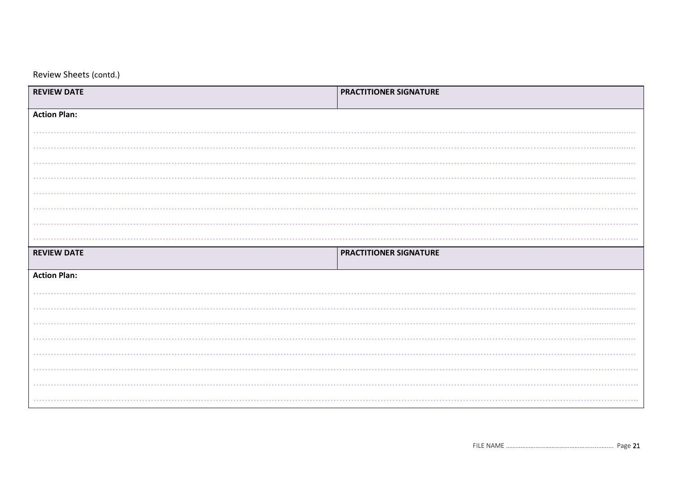Review Sheets (contd.)

| <b>REVIEW DATE</b>  | PRACTITIONER SIGNATURE |
|---------------------|------------------------|
| <b>Action Plan:</b> |                        |
|                     |                        |
|                     |                        |
|                     |                        |
|                     |                        |
|                     |                        |
|                     |                        |
|                     |                        |
|                     |                        |
| <b>REVIEW DATE</b>  | PRACTITIONER SIGNATURE |
| <b>Action Plan:</b> |                        |
|                     |                        |
|                     |                        |
| .                   |                        |
|                     |                        |
|                     |                        |
| .                   |                        |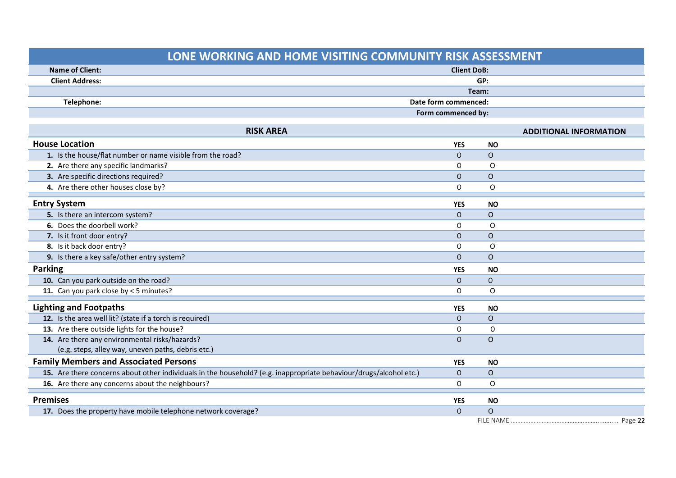| LONE WORKING AND HOME VISITING COMMUNITY RISK ASSESSMENT                                                           |                      |                |                               |  |
|--------------------------------------------------------------------------------------------------------------------|----------------------|----------------|-------------------------------|--|
| <b>Name of Client:</b>                                                                                             | <b>Client DoB:</b>   |                |                               |  |
| <b>Client Address:</b>                                                                                             | GP:                  |                |                               |  |
|                                                                                                                    | Team:                |                |                               |  |
| Telephone:                                                                                                         | Date form commenced: |                |                               |  |
|                                                                                                                    | Form commenced by:   |                |                               |  |
| <b>RISK AREA</b>                                                                                                   |                      |                | <b>ADDITIONAL INFORMATION</b> |  |
| <b>House Location</b>                                                                                              | <b>YES</b>           | <b>NO</b>      |                               |  |
| 1. Is the house/flat number or name visible from the road?                                                         | $\Omega$             | $\Omega$       |                               |  |
| 2. Are there any specific landmarks?                                                                               | O                    | $\Omega$       |                               |  |
| 3. Are specific directions required?                                                                               | $\mathbf{O}$         | $\Omega$       |                               |  |
| 4. Are there other houses close by?                                                                                | O                    | $\circ$        |                               |  |
| <b>Entry System</b>                                                                                                | <b>YES</b>           | <b>NO</b>      |                               |  |
| 5. Is there an intercom system?                                                                                    | $\mathsf{O}$         | $\overline{O}$ |                               |  |
| 6. Does the doorbell work?                                                                                         | $\Omega$             | $\Omega$       |                               |  |
| 7. Is it front door entry?                                                                                         | $\Omega$             | $\Omega$       |                               |  |
| 8. Is it back door entry?                                                                                          | O                    | $\Omega$       |                               |  |
| 9. Is there a key safe/other entry system?                                                                         | $\Omega$             | $\overline{O}$ |                               |  |
| <b>Parking</b>                                                                                                     | <b>YES</b>           | <b>NO</b>      |                               |  |
| 10. Can you park outside on the road?                                                                              | $\mathsf{O}$         | $\mathsf{O}$   |                               |  |
| 11. Can you park close by < 5 minutes?                                                                             | $\mathsf{O}$         | $\circ$        |                               |  |
| <b>Lighting and Footpaths</b>                                                                                      | <b>YES</b>           | <b>NO</b>      |                               |  |
| 12. Is the area well lit? (state if a torch is required)                                                           | $\Omega$             | $\overline{O}$ |                               |  |
| 13. Are there outside lights for the house?                                                                        | $\mathsf{O}$         | $\mathsf{O}$   |                               |  |
| 14. Are there any environmental risks/hazards?                                                                     | $\mathbf{O}$         | $\Omega$       |                               |  |
| (e.g. steps, alley way, uneven paths, debris etc.)                                                                 |                      |                |                               |  |
| <b>Family Members and Associated Persons</b>                                                                       | <b>YES</b>           | <b>NO</b>      |                               |  |
| 15. Are there concerns about other individuals in the household? (e.g. inappropriate behaviour/drugs/alcohol etc.) | $\mathsf{O}$         | $\mathsf{O}$   |                               |  |
| 16. Are there any concerns about the neighbours?                                                                   | 0                    | 0              |                               |  |
| <b>Premises</b>                                                                                                    | <b>YES</b>           | <b>NO</b>      |                               |  |
| 17. Does the property have mobile telephone network coverage?                                                      | $\Omega$             | $\Omega$       |                               |  |
|                                                                                                                    |                      |                |                               |  |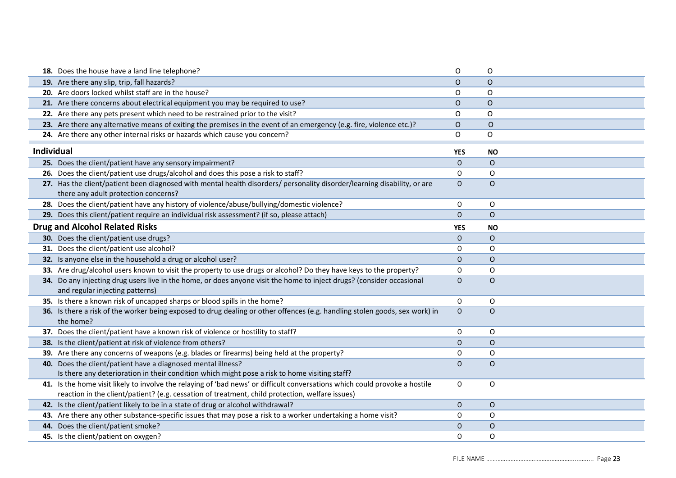|                   | 18. Does the house have a land line telephone?                                                                                                                                                                                 | O            | $\mathsf{O}$ |  |
|-------------------|--------------------------------------------------------------------------------------------------------------------------------------------------------------------------------------------------------------------------------|--------------|--------------|--|
|                   | 19. Are there any slip, trip, fall hazards?                                                                                                                                                                                    | $\mathsf O$  | $\mathsf{O}$ |  |
|                   | 20. Are doors locked whilst staff are in the house?                                                                                                                                                                            | O            | $\circ$      |  |
|                   | 21. Are there concerns about electrical equipment you may be required to use?                                                                                                                                                  | O            | $\circ$      |  |
|                   | 22. Are there any pets present which need to be restrained prior to the visit?                                                                                                                                                 | O            | O            |  |
|                   | 23. Are there any alternative means of exiting the premises in the event of an emergency (e.g. fire, violence etc.)?                                                                                                           | O            | $\mathsf{O}$ |  |
|                   | 24. Are there any other internal risks or hazards which cause you concern?                                                                                                                                                     | O            | O            |  |
| <b>Individual</b> |                                                                                                                                                                                                                                | <b>YES</b>   | <b>NO</b>    |  |
|                   | 25. Does the client/patient have any sensory impairment?                                                                                                                                                                       | $\mathsf{O}$ | $\circ$      |  |
|                   | 26. Does the client/patient use drugs/alcohol and does this pose a risk to staff?                                                                                                                                              | 0            | O            |  |
|                   | 27. Has the client/patient been diagnosed with mental health disorders/ personality disorder/learning disability, or are                                                                                                       | $\mathsf{O}$ | $\circ$      |  |
|                   | there any adult protection concerns?                                                                                                                                                                                           |              |              |  |
|                   | 28. Does the client/patient have any history of violence/abuse/bullying/domestic violence?                                                                                                                                     | 0            | 0            |  |
|                   | 29. Does this client/patient require an individual risk assessment? (if so, please attach)                                                                                                                                     | $\mathsf{O}$ | $\circ$      |  |
|                   | <b>Drug and Alcohol Related Risks</b>                                                                                                                                                                                          | YES          | <b>NO</b>    |  |
|                   | 30. Does the client/patient use drugs?                                                                                                                                                                                         | $\mathsf O$  | $\circ$      |  |
|                   | 31. Does the client/patient use alcohol?                                                                                                                                                                                       | 0            | O            |  |
|                   | 32. Is anyone else in the household a drug or alcohol user?                                                                                                                                                                    | $\mathsf{O}$ | $\circ$      |  |
|                   | 33. Are drug/alcohol users known to visit the property to use drugs or alcohol? Do they have keys to the property?                                                                                                             | 0            | 0            |  |
|                   | 34. Do any injecting drug users live in the home, or does anyone visit the home to inject drugs? (consider occasional<br>and regular injecting patterns)                                                                       | $\mathsf{O}$ | $\circ$      |  |
|                   | 35. Is there a known risk of uncapped sharps or blood spills in the home?                                                                                                                                                      | $\circ$      | 0            |  |
|                   | 36. Is there a risk of the worker being exposed to drug dealing or other offences (e.g. handling stolen goods, sex work) in<br>the home?                                                                                       | $\mathsf{O}$ | $\circ$      |  |
|                   | 37. Does the client/patient have a known risk of violence or hostility to staff?                                                                                                                                               | 0            | O            |  |
|                   | 38. Is the client/patient at risk of violence from others?                                                                                                                                                                     | $\mathsf O$  | $\circ$      |  |
|                   | 39. Are there any concerns of weapons (e.g. blades or firearms) being held at the property?                                                                                                                                    | 0            | $\mathsf O$  |  |
|                   | 40. Does the client/patient have a diagnosed mental illness?                                                                                                                                                                   | $\mathsf O$  | $\circ$      |  |
|                   | Is there any deterioration in their condition which might pose a risk to home visiting staff?                                                                                                                                  |              |              |  |
|                   | 41. Is the home visit likely to involve the relaying of 'bad news' or difficult conversations which could provoke a hostile<br>reaction in the client/patient? (e.g. cessation of treatment, child protection, welfare issues) | 0            | $\mathsf O$  |  |
|                   | 42. Is the client/patient likely to be in a state of drug or alcohol withdrawal?                                                                                                                                               | $\mathsf{O}$ | $\mathsf O$  |  |
|                   | 43. Are there any other substance-specific issues that may pose a risk to a worker undertaking a home visit?                                                                                                                   | 0            | 0            |  |
|                   |                                                                                                                                                                                                                                |              |              |  |
|                   | 44. Does the client/patient smoke?                                                                                                                                                                                             | $\mathsf{O}$ | $\circ$      |  |